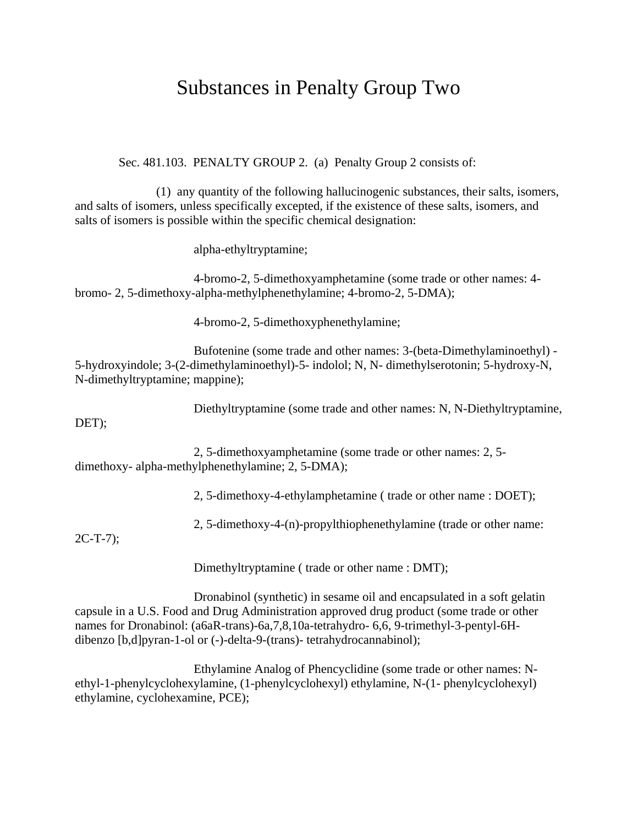## Substances in Penalty Group Two

Sec. 481.103. PENALTY GROUP 2. (a) Penalty Group 2 consists of:

(1) any quantity of the following hallucinogenic substances, their salts, isomers, and salts of isomers, unless specifically excepted, if the existence of these salts, isomers, and salts of isomers is possible within the specific chemical designation:

alpha-ethyltryptamine;

4-bromo-2, 5-dimethoxyamphetamine (some trade or other names: 4 bromo- 2, 5-dimethoxy-alpha-methylphenethylamine; 4-bromo-2, 5-DMA);

4-bromo-2, 5-dimethoxyphenethylamine;

Bufotenine (some trade and other names: 3-(beta-Dimethylaminoethyl) - 5-hydroxyindole; 3-(2-dimethylaminoethyl)-5- indolol; N, N- dimethylserotonin; 5-hydroxy-N, N-dimethyltryptamine; mappine);

Diethyltryptamine (some trade and other names: N, N-Diethyltryptamine,

DET);

2, 5-dimethoxyamphetamine (some trade or other names: 2, 5 dimethoxy- alpha-methylphenethylamine; 2, 5-DMA);

2, 5-dimethoxy-4-ethylamphetamine ( trade or other name : DOET);

2, 5-dimethoxy-4-(n)-propylthiophenethylamine (trade or other name:

2C-T-7);

Dimethyltryptamine ( trade or other name : DMT);

Dronabinol (synthetic) in sesame oil and encapsulated in a soft gelatin capsule in a U.S. Food and Drug Administration approved drug product (some trade or other names for Dronabinol: (a6aR-trans)-6a,7,8,10a-tetrahydro- 6,6, 9-trimethyl-3-pentyl-6Hdibenzo [b,d]pyran-1-ol or (-)-delta-9-(trans)- tetrahydrocannabinol);

Ethylamine Analog of Phencyclidine (some trade or other names: Nethyl-1-phenylcyclohexylamine, (1-phenylcyclohexyl) ethylamine, N-(1- phenylcyclohexyl) ethylamine, cyclohexamine, PCE);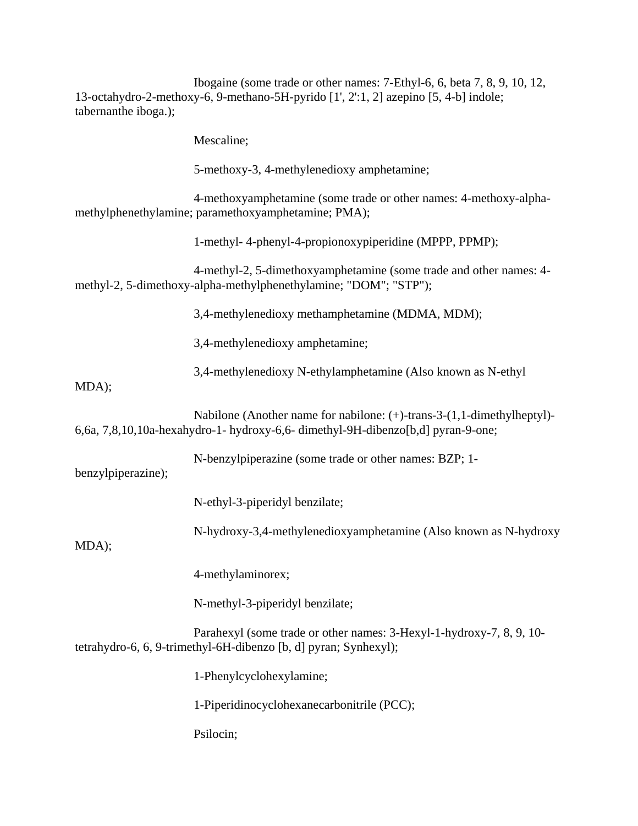Ibogaine (some trade or other names: 7-Ethyl-6, 6, beta 7, 8, 9, 10, 12, 13-octahydro-2-methoxy-6, 9-methano-5H-pyrido [1', 2':1, 2] azepino [5, 4-b] indole; tabernanthe iboga.);

Mescaline;

5-methoxy-3, 4-methylenedioxy amphetamine;

4-methoxyamphetamine (some trade or other names: 4-methoxy-alphamethylphenethylamine; paramethoxyamphetamine; PMA);

1-methyl- 4-phenyl-4-propionoxypiperidine (MPPP, PPMP);

4-methyl-2, 5-dimethoxyamphetamine (some trade and other names: 4 methyl-2, 5-dimethoxy-alpha-methylphenethylamine; "DOM"; "STP");

3,4-methylenedioxy methamphetamine (MDMA, MDM);

3,4-methylenedioxy amphetamine;

3,4-methylenedioxy N-ethylamphetamine (Also known as N-ethyl

MDA);

Nabilone (Another name for nabilone: (+)-trans-3-(1,1-dimethylheptyl)- 6,6a, 7,8,10,10a-hexahydro-1- hydroxy-6,6- dimethyl-9H-dibenzo[b,d] pyran-9-one;

N-benzylpiperazine (some trade or other names: BZP; 1-

benzylpiperazine);

N-ethyl-3-piperidyl benzilate;

N-hydroxy-3,4-methylenedioxyamphetamine (Also known as N-hydroxy

MDA);

4-methylaminorex;

N-methyl-3-piperidyl benzilate;

Parahexyl (some trade or other names: 3-Hexyl-1-hydroxy-7, 8, 9, 10 tetrahydro-6, 6, 9-trimethyl-6H-dibenzo [b, d] pyran; Synhexyl);

1-Phenylcyclohexylamine;

1-Piperidinocyclohexanecarbonitrile (PCC);

Psilocin;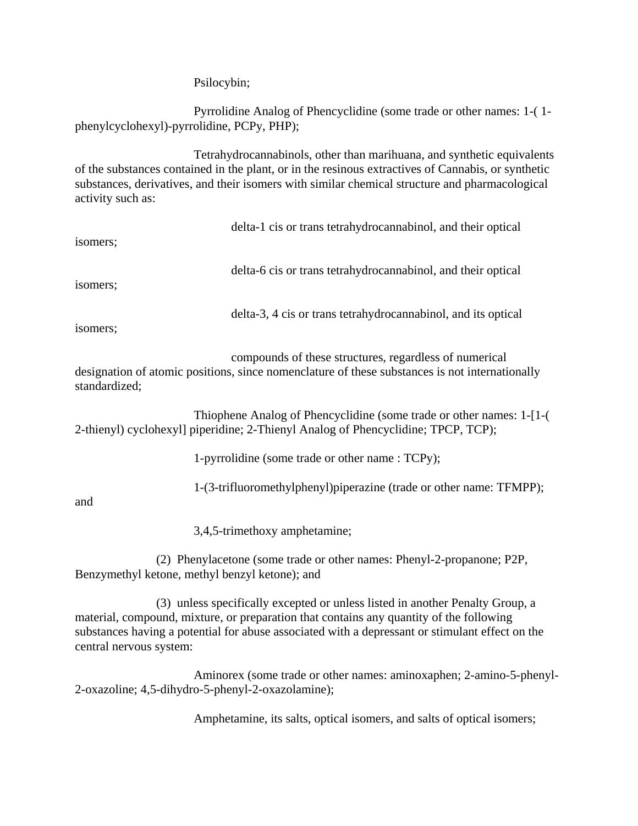Psilocybin;

Pyrrolidine Analog of Phencyclidine (some trade or other names: 1-( 1 phenylcyclohexyl)-pyrrolidine, PCPy, PHP);

Tetrahydrocannabinols, other than marihuana, and synthetic equivalents of the substances contained in the plant, or in the resinous extractives of Cannabis, or synthetic substances, derivatives, and their isomers with similar chemical structure and pharmacological activity such as:

| isomers; | delta-1 cis or trans tetrahydrocannabinol, and their optical  |
|----------|---------------------------------------------------------------|
| isomers; | delta-6 cis or trans tetrahydrocannabinol, and their optical  |
| isomers; | delta-3, 4 cis or trans tetrahydrocannabinol, and its optical |

compounds of these structures, regardless of numerical designation of atomic positions, since nomenclature of these substances is not internationally standardized;

Thiophene Analog of Phencyclidine (some trade or other names: 1-[1-( 2-thienyl) cyclohexyl] piperidine; 2-Thienyl Analog of Phencyclidine; TPCP, TCP);

1-pyrrolidine (some trade or other name : TCPy);

1-(3-trifluoromethylphenyl)piperazine (trade or other name: TFMPP);

and

3,4,5-trimethoxy amphetamine;

(2) Phenylacetone (some trade or other names: Phenyl-2-propanone; P2P, Benzymethyl ketone, methyl benzyl ketone); and

(3) unless specifically excepted or unless listed in another Penalty Group, a material, compound, mixture, or preparation that contains any quantity of the following substances having a potential for abuse associated with a depressant or stimulant effect on the central nervous system:

Aminorex (some trade or other names: aminoxaphen; 2-amino-5-phenyl-2-oxazoline; 4,5-dihydro-5-phenyl-2-oxazolamine);

Amphetamine, its salts, optical isomers, and salts of optical isomers;